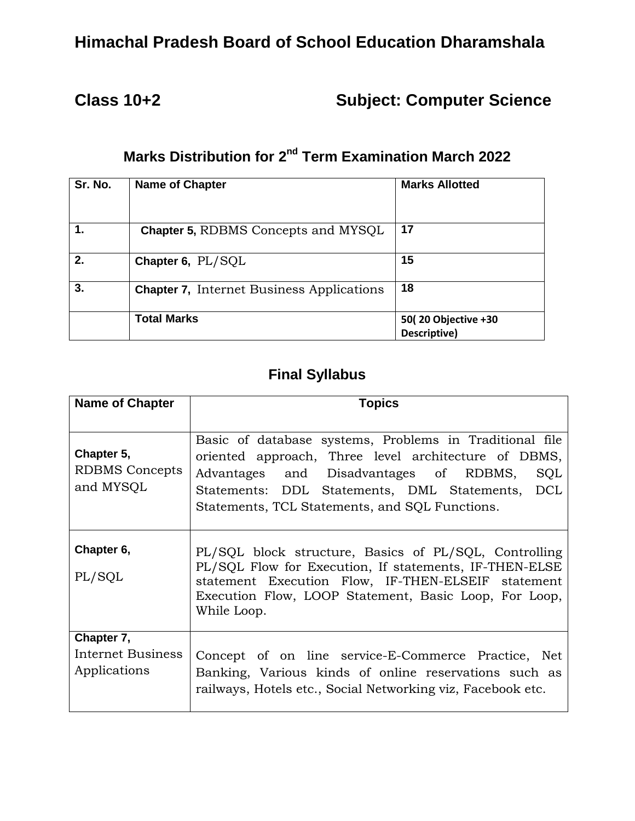# **Himachal Pradesh Board of School Education Dharamshala**

# **Class 10+2 Subject: Computer Science**

# **Marks Distribution for 2<sup>nd</sup> Term Examination March 2022**

| Sr. No. | <b>Name of Chapter</b>                           | <b>Marks Allotted</b>               |
|---------|--------------------------------------------------|-------------------------------------|
|         | <b>Chapter 5, RDBMS Concepts and MYSQL</b>       | 17                                  |
| 2.      | Chapter 6, PL/SQL                                | 15                                  |
| 3.      | <b>Chapter 7.</b> Internet Business Applications | 18                                  |
|         | <b>Total Marks</b>                               | 50(20 Objective +30<br>Descriptive) |

#### **Final Syllabus**

| <b>Name of Chapter</b>                           | Topics                                                                                                                                                                                                                                                                |  |  |  |
|--------------------------------------------------|-----------------------------------------------------------------------------------------------------------------------------------------------------------------------------------------------------------------------------------------------------------------------|--|--|--|
|                                                  |                                                                                                                                                                                                                                                                       |  |  |  |
| Chapter 5,<br><b>RDBMS</b> Concepts<br>and MYSQL | Basic of database systems, Problems in Traditional file<br>oriented approach, Three level architecture of DBMS,<br>Advantages and Disadvantages of RDBMS,<br>SQL<br>Statements: DDL Statements, DML Statements, DCL<br>Statements, TCL Statements, and SQL Functions. |  |  |  |
| Chapter 6,<br>PL/SQL                             | PL/SQL block structure, Basics of PL/SQL, Controlling<br>PL/SQL Flow for Execution, If statements, IF-THEN-ELSE<br>statement Execution Flow, IF-THEN-ELSEIF statement<br>Execution Flow, LOOP Statement, Basic Loop, For Loop,<br>While Loop.                         |  |  |  |
| Chapter 7,<br>Internet Business<br>Applications  | Concept of on line service-E-Commerce Practice, Net<br>Banking, Various kinds of online reservations such as<br>railways, Hotels etc., Social Networking viz, Facebook etc.                                                                                           |  |  |  |